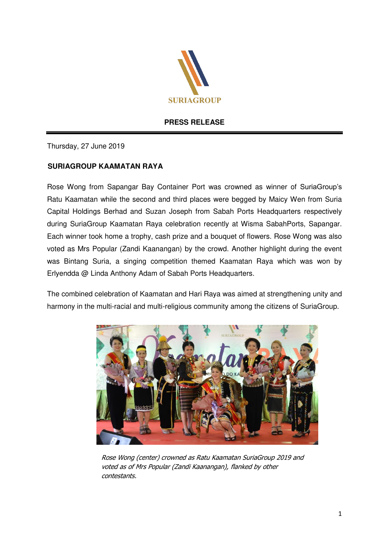

## **PRESS RELEASE**

Thursday, 27 June 2019

## **SURIAGROUP KAAMATAN RAYA**

Rose Wong from Sapangar Bay Container Port was crowned as winner of SuriaGroup's Ratu Kaamatan while the second and third places were begged by Maicy Wen from Suria Capital Holdings Berhad and Suzan Joseph from Sabah Ports Headquarters respectively during SuriaGroup Kaamatan Raya celebration recently at Wisma SabahPorts, Sapangar. Each winner took home a trophy, cash prize and a bouquet of flowers. Rose Wong was also voted as Mrs Popular (Zandi Kaanangan) by the crowd. Another highlight during the event was Bintang Suria, a singing competition themed Kaamatan Raya which was won by Erlyendda @ Linda Anthony Adam of Sabah Ports Headquarters.

The combined celebration of Kaamatan and Hari Raya was aimed at strengthening unity and harmony in the multi-racial and multi-religious community among the citizens of SuriaGroup.



Rose Wong (center) crowned as Ratu Kaamatan SuriaGroup 2019 and voted as of Mrs Popular (Zandi Kaanangan), flanked by other contestants.